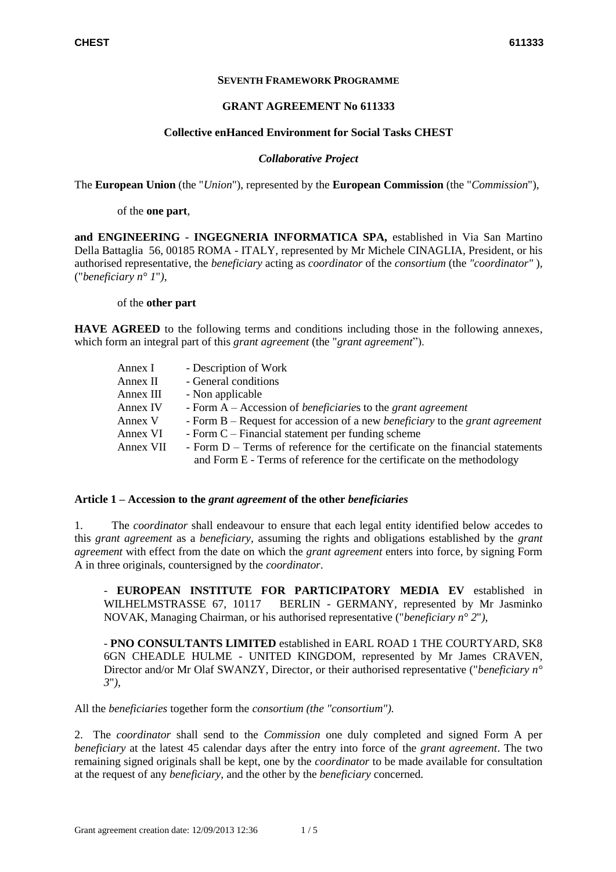### **SEVENTH FRAMEWORK PROGRAMME**

#### **GRANT AGREEMENT No 611333**

### **Collective enHanced Environment for Social Tasks CHEST**

### *Collaborative Project*

The **European Union** (the "*Union*"), represented by the **European Commission** (the "*Commission*"),

of the **one part**,

**and ENGINEERING - INGEGNERIA INFORMATICA SPA,** established in Via San Martino Della Battaglia 56, 00185 ROMA - ITALY, represented by Mr Michele CINAGLIA, President, or his authorised representative, the *beneficiary* acting as *coordinator* of the *consortium* (the *"coordinator"* )*,* ("*beneficiary n° 1*"*)*,

of the **other part**

**HAVE AGREED** to the following terms and conditions including those in the following annexes, which form an integral part of this *grant agreement* (the "*grant agreement*").

| Annex I   | - Description of Work                                                                                                                                   |  |
|-----------|---------------------------------------------------------------------------------------------------------------------------------------------------------|--|
| Annex II  | - General conditions                                                                                                                                    |  |
| Annex III | - Non applicable                                                                                                                                        |  |
| Annex IV  | - Form $A - Accession$ of <i>beneficiaries</i> to the <i>grant agreement</i>                                                                            |  |
| Annex V   | - Form B – Request for accession of a new <i>beneficiary</i> to the <i>grant agreement</i>                                                              |  |
| Annex VI  | - Form $C$ – Financial statement per funding scheme                                                                                                     |  |
| Annex VII | - Form D – Terms of reference for the certificate on the financial statements<br>and Form E - Terms of reference for the certificate on the methodology |  |

#### **Article 1 – Accession to the** *grant agreement* **of the other** *beneficiaries*

1. The *coordinator* shall endeavour to ensure that each legal entity identified below accedes to this *grant agreement* as a *beneficiary,* assuming the rights and obligations established by the *grant agreement* with effect from the date on which the *grant agreement* enters into force, by signing Form A in three originals, countersigned by the *coordinator*.

- **EUROPEAN INSTITUTE FOR PARTICIPATORY MEDIA EV** established in WILHELMSTRASSE 67, 10117 BERLIN - GERMANY*,* represented by Mr Jasminko NOVAK, Managing Chairman, or his authorised representative ("*beneficiary n° 2*"*)*,

- **PNO CONSULTANTS LIMITED** established in EARL ROAD 1 THE COURTYARD, SK8 6GN CHEADLE HULME - UNITED KINGDOM*,* represented by Mr James CRAVEN, Director and/or Mr Olaf SWANZY, Director, or their authorised representative ("*beneficiary n° 3*"*)*,

All the *beneficiaries* together form the *consortium (the "consortium").*

2. The *coordinator* shall send to the *Commission* one duly completed and signed Form A per *beneficiary* at the latest 45 calendar days after the entry into force of the *grant agreement*. The two remaining signed originals shall be kept, one by the *coordinator* to be made available for consultation at the request of any *beneficiary*, and the other by the *beneficiary* concerned.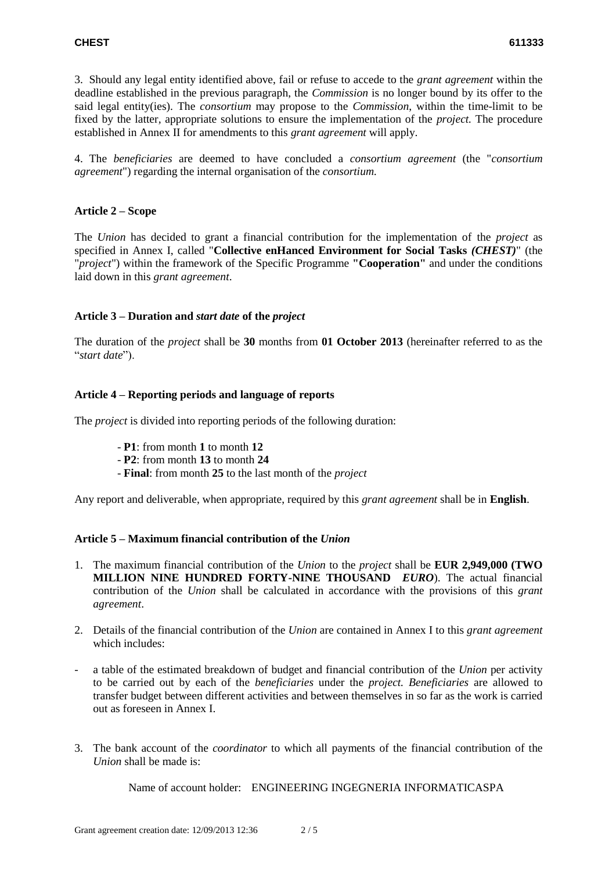3. Should any legal entity identified above, fail or refuse to accede to the *grant agreement* within the deadline established in the previous paragraph, the *Commission* is no longer bound by its offer to the said legal entity(ies). The *consortium* may propose to the *Commission*, within the time-limit to be fixed by the latter*,* appropriate solutions to ensure the implementation of the *project.* The procedure established in Annex II for amendments to this *grant agreement* will apply.

4. The *beneficiaries* are deemed to have concluded a *consortium agreement* (the "*consortium agreement*") regarding the internal organisation of the *consortium.*

# **Article 2 – Scope**

The *Union* has decided to grant a financial contribution for the implementation of the *project* as specified in Annex I, called "**Collective enHanced Environment for Social Tasks** *(CHEST)*" (the "*project*") within the framework of the Specific Programme **"Cooperation"** and under the conditions laid down in this *grant agreement*.

# **Article 3 – Duration and** *start date* **of the** *project*

The duration of the *project* shall be **30** months from **01 October 2013** (hereinafter referred to as the "*start date*").

# **Article 4 – Reporting periods and language of reports**

The *project* is divided into reporting periods of the following duration:

- **P1**: from month **1** to month **12**
- **P2**: from month **13** to month **24**
- **Final**: from month **25** to the last month of the *project*

Any report and deliverable, when appropriate, required by this *grant agreement* shall be in **English**.

# **Article 5 – Maximum financial contribution of the** *Union*

- 1. The maximum financial contribution of the *Union* to the *project* shall be **EUR 2,949,000 (TWO MILLION NINE HUNDRED FORTY-NINE THOUSAND** *EURO*). The actual financial contribution of the *Union* shall be calculated in accordance with the provisions of this *grant agreement*.
- 2. Details of the financial contribution of the *Union* are contained in Annex I to this *grant agreement* which includes:
- a table of the estimated breakdown of budget and financial contribution of the *Union* per activity to be carried out by each of the *beneficiaries* under the *project. Beneficiaries* are allowed to transfer budget between different activities and between themselves in so far as the work is carried out as foreseen in Annex I.
- 3. The bank account of the *coordinator* to which all payments of the financial contribution of the *Union* shall be made is:

Name of account holder: ENGINEERING INGEGNERIA INFORMATICASPA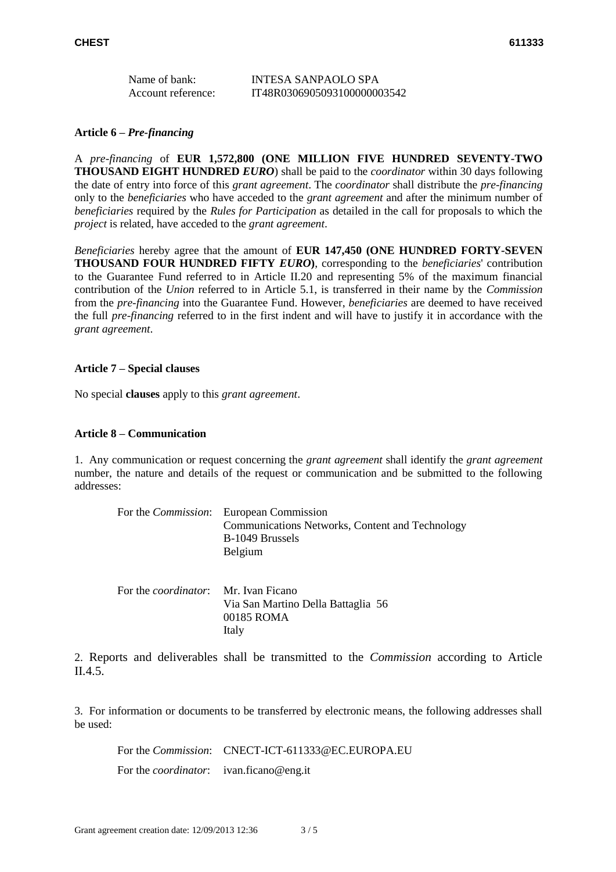| Name of bank:      | INTESA SANPAOLO SPA         |
|--------------------|-----------------------------|
| Account reference: | IT48R0306905093100000003542 |

### **Article 6 –** *Pre-financing*

A *pre-financing* of **EUR 1,572,800 (ONE MILLION FIVE HUNDRED SEVENTY-TWO THOUSAND EIGHT HUNDRED** *EURO*) shall be paid to the *coordinator* within 30 days following the date of entry into force of this *grant agreement*. The *coordinator* shall distribute the *pre-financing* only to the *beneficiaries* who have acceded to the *grant agreement* and after the minimum number of *beneficiaries* required by the *Rules for Participation* as detailed in the call for proposals to which the *project* is related, have acceded to the *grant agreement*.

*Beneficiaries* hereby agree that the amount of **EUR 147,450 (ONE HUNDRED FORTY-SEVEN THOUSAND FOUR HUNDRED FIFTY** *EURO***)**, corresponding to the *beneficiaries*' contribution to the Guarantee Fund referred to in Article II.20 and representing 5% of the maximum financial contribution of the *Union* referred to in Article 5.1, is transferred in their name by the *Commission* from the *pre-financing* into the Guarantee Fund. However, *beneficiaries* are deemed to have received the full *pre-financing* referred to in the first indent and will have to justify it in accordance with the *grant agreement*.

### **Article 7 – Special clauses**

No special **clauses** apply to this *grant agreement*.

## **Article 8 – Communication**

1. Any communication or request concerning the *grant agreement* shall identify the *grant agreement* number, the nature and details of the request or communication and be submitted to the following addresses:

|                                              | For the <i>Commission</i> : European Commission<br>Communications Networks, Content and Technology<br>B-1049 Brussels<br>Belgium |
|----------------------------------------------|----------------------------------------------------------------------------------------------------------------------------------|
| For the <i>coordinator</i> : Mr. Ivan Ficano | Via San Martino Della Battaglia 56<br>00185 ROMA                                                                                 |

2. Reports and deliverables shall be transmitted to the *Commission* according to Article II.4.5.

3. For information or documents to be transferred by electronic means, the following addresses shall be used:

For the *Commission*: CNECT-ICT-611333@EC.EUROPA.EU

For the *coordinator*: ivan.ficano@eng.it

Italy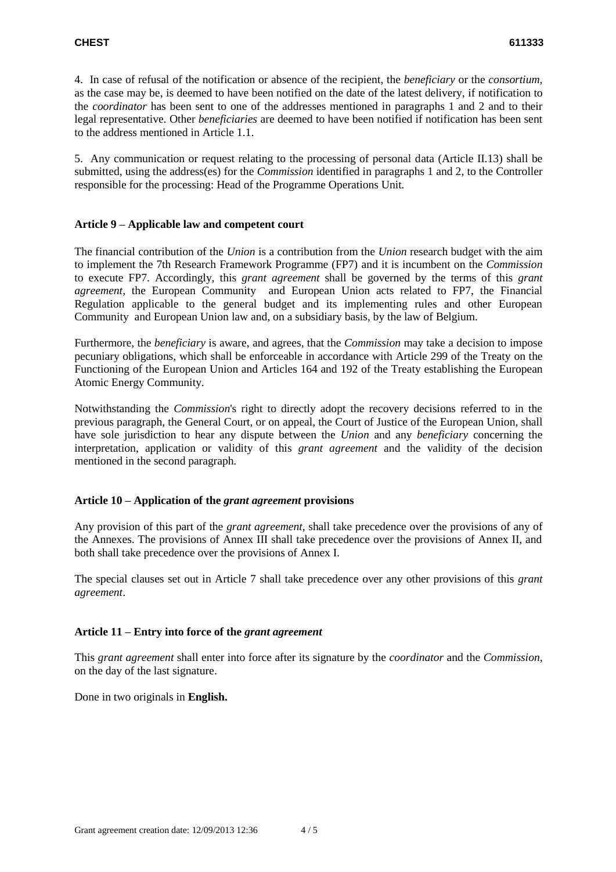4. In case of refusal of the notification or absence of the recipient, the *beneficiary* or the *consortium,*  as the case may be, is deemed to have been notified on the date of the latest delivery, if notification to the *coordinator* has been sent to one of the addresses mentioned in paragraphs 1 and 2 and to their legal representative. Other *beneficiaries* are deemed to have been notified if notification has been sent to the address mentioned in Article 1.1.

5. Any communication or request relating to the processing of personal data (Article II.13) shall be submitted, using the address(es) for the *Commission* identified in paragraphs 1 and 2, to the Controller responsible for the processing: Head of the Programme Operations Unit*.*

# **Article 9 – Applicable law and competent court**

The financial contribution of the *Union* is a contribution from the *Union* research budget with the aim to implement the 7th Research Framework Programme (FP7) and it is incumbent on the *Commission* to execute FP7. Accordingly, this *grant agreement* shall be governed by the terms of this *grant agreement,* the European Community and European Union acts related to FP7, the Financial Regulation applicable to the general budget and its implementing rules and other European Community and European Union law and, on a subsidiary basis, by the law of Belgium.

Furthermore, the *beneficiary* is aware, and agrees, that the *Commission* may take a decision to impose pecuniary obligations, which shall be enforceable in accordance with Article 299 of the Treaty on the Functioning of the European Union and Articles 164 and 192 of the Treaty establishing the European Atomic Energy Community.

Notwithstanding the *Commission*'s right to directly adopt the recovery decisions referred to in the previous paragraph, the General Court, or on appeal, the Court of Justice of the European Union, shall have sole jurisdiction to hear any dispute between the *Union* and any *beneficiary* concerning the interpretation, application or validity of this *grant agreement* and the validity of the decision mentioned in the second paragraph*.*

# **Article 10 – Application of the** *grant agreement* **provisions**

Any provision of this part of the *grant agreement*, shall take precedence over the provisions of any of the Annexes. The provisions of Annex III shall take precedence over the provisions of Annex II, and both shall take precedence over the provisions of Annex I.

The special clauses set out in Article 7 shall take precedence over any other provisions of this *grant agreement*.

# **Article 11 – Entry into force of the** *grant agreement*

This *grant agreement* shall enter into force after its signature by the *coordinator* and the *Commission,* on the day of the last signature.

Done in two originals in **English.**